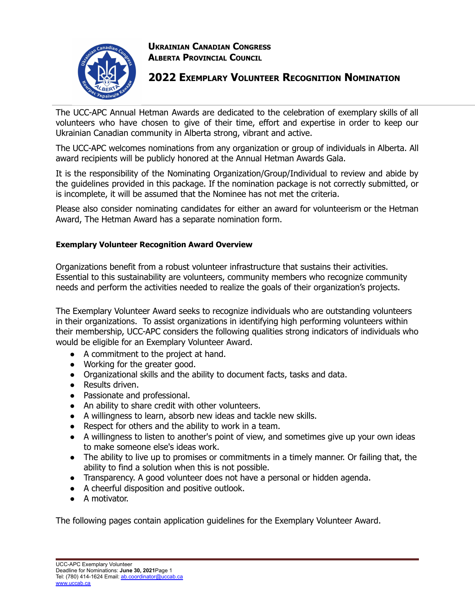

**UKRAINIAN CANADIAN CONGRESS ALBERTA PROVINCIAL COUNCIL**

## **2022 EXEMPLARY VOLUNTEER RECOGNITION NOMINATION**

The UCC-APC Annual Hetman Awards are dedicated to the celebration of exemplary skills of all volunteers who have chosen to give of their time, effort and expertise in order to keep our Ukrainian Canadian community in Alberta strong, vibrant and active.

The UCC-APC welcomes nominations from any organization or group of individuals in Alberta. All award recipients will be publicly honored at the Annual Hetman Awards Gala.

It is the responsibility of the Nominating Organization/Group/Individual to review and abide by the guidelines provided in this package. If the nomination package is not correctly submitted, or is incomplete, it will be assumed that the Nominee has not met the criteria.

Please also consider nominating candidates for either an award for volunteerism or the Hetman Award, The Hetman Award has a separate nomination form.

## **Exemplary Volunteer Recognition Award Overview**

Organizations benefit from a robust volunteer infrastructure that sustains their activities. Essential to this sustainability are volunteers, community members who recognize community needs and perform the activities needed to realize the goals of their organization's projects.

The Exemplary Volunteer Award seeks to recognize individuals who are outstanding volunteers in their organizations. To assist organizations in identifying high performing volunteers within their membership, UCC-APC considers the following qualities strong indicators of individuals who would be eligible for an Exemplary Volunteer Award.

- A commitment to the project at hand.
- Working for the greater good.
- Organizational skills and the ability to document facts, tasks and data.
- Results driven.
- Passionate and professional.
- An ability to share credit with other volunteers.
- A willingness to learn, absorb new ideas and tackle new skills.
- Respect for others and the ability to work in a team.
- A willingness to listen to another's point of view, and sometimes give up your own ideas to make someone else's ideas work.
- The ability to live up to promises or commitments in a timely manner. Or failing that, the ability to find a solution when this is not possible.
- Transparency. A good volunteer does not have a personal or hidden agenda.
- A cheerful disposition and positive outlook.
- A motivator.

The following pages contain application guidelines for the Exemplary Volunteer Award.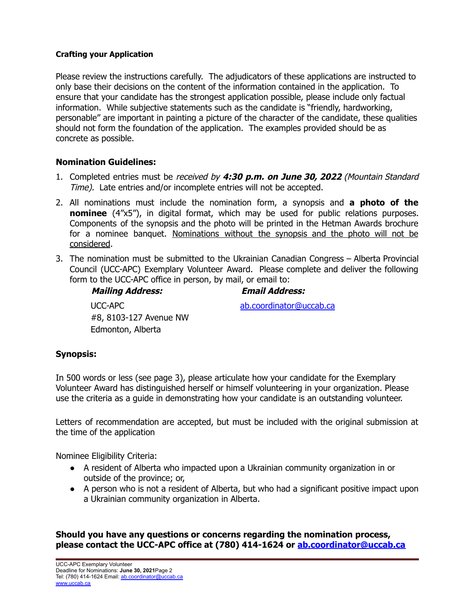## **Crafting your Application**

Please review the instructions carefully. The adjudicators of these applications are instructed to only base their decisions on the content of the information contained in the application. To ensure that your candidate has the strongest application possible, please include only factual information. While subjective statements such as the candidate is "friendly, hardworking, personable" are important in painting a picture of the character of the candidate, these qualities should not form the foundation of the application. The examples provided should be as concrete as possible.

## **Nomination Guidelines:**

- 1. Completed entries must be received by **4:30 p.m. on June 30, 2022** (Mountain Standard Time). Late entries and/or incomplete entries will not be accepted.
- 2. All nominations must include the nomination form, a synopsis and **a photo of the nominee** (4"x5"), in digital format, which may be used for public relations purposes. Components of the synopsis and the photo will be printed in the Hetman Awards brochure for a nominee banquet. Nominations without the synopsis and the photo will not be considered.
- 3. The nomination must be submitted to the Ukrainian Canadian Congress Alberta Provincial Council (UCC-APC) Exemplary Volunteer Award. Please complete and deliver the following form to the UCC-APC office in person, by mail, or email to:

## **Mailing Address: Email Address:**

ab.coordinator@uccab.ca

UCC-APC #8, 8103-127 Avenue NW Edmonton, Alberta

## **Synopsis:**

In 500 words or less (see page 3), please articulate how your candidate for the Exemplary Volunteer Award has distinguished herself or himself volunteering in your organization. Please use the criteria as a guide in demonstrating how your candidate is an outstanding volunteer.

Letters of recommendation are accepted, but must be included with the original submission at the time of the application

Nominee Eligibility Criteria:

- A resident of Alberta who impacted upon a Ukrainian community organization in or outside of the province; or,
- A person who is not a resident of Alberta, but who had a significant positive impact upon a Ukrainian community organization in Alberta.

**Should you have any questions or concerns regarding the nomination process, please contact the UCC-APC office at (780) 414-1624 or ab.coordinator@uccab.ca**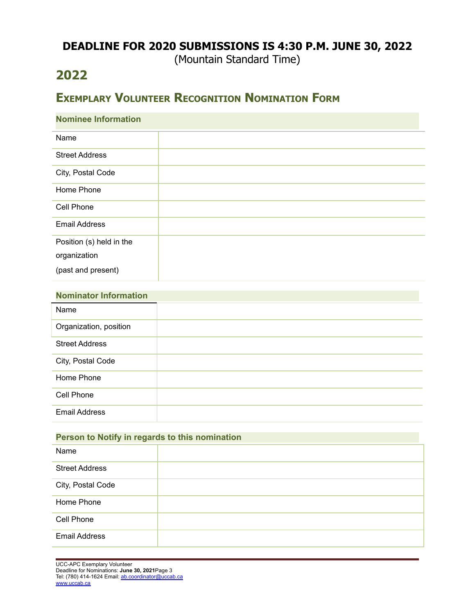## **DEADLINE FOR 2020 SUBMISSIONS IS 4:30 P.M. JUNE 30, 2022**

(Mountain Standard Time)

# **2022**

# **EXEMPLARY VOLUNTEER RECOGNITION NOMINATION FORM**

| <b>Nominee Information</b> |  |  |
|----------------------------|--|--|
| Name                       |  |  |
| <b>Street Address</b>      |  |  |
| City, Postal Code          |  |  |
| Home Phone                 |  |  |
| Cell Phone                 |  |  |
| <b>Email Address</b>       |  |  |
| Position (s) held in the   |  |  |
| organization               |  |  |
| (past and present)         |  |  |

| <b>Nominator Information</b> |  |
|------------------------------|--|
| Name                         |  |
| Organization, position       |  |
| <b>Street Address</b>        |  |
| City, Postal Code            |  |
| Home Phone                   |  |
| Cell Phone                   |  |
| <b>Email Address</b>         |  |

| Person to Notify in regards to this nomination |  |  |
|------------------------------------------------|--|--|
| Name                                           |  |  |
| <b>Street Address</b>                          |  |  |
| City, Postal Code                              |  |  |
| Home Phone                                     |  |  |
| Cell Phone                                     |  |  |
| <b>Email Address</b>                           |  |  |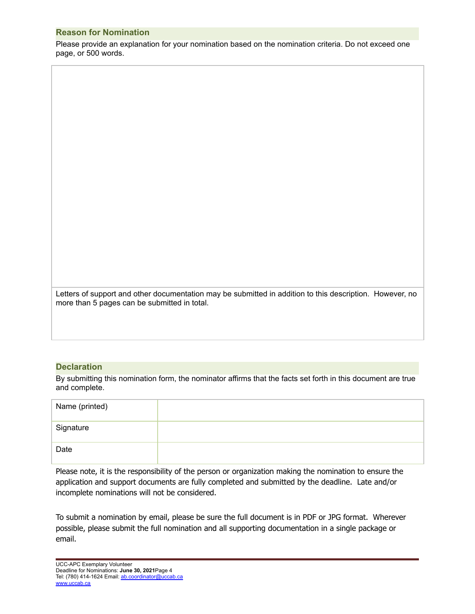## **Reason for Nomination**

Please provide an explanation for your nomination based on the nomination criteria. Do not exceed one page, or 500 words.

Letters of support and other documentation may be submitted in addition to this description. However, no more than 5 pages can be submitted in total.

## **Declaration**

By submitting this nomination form, the nominator affirms that the facts set forth in this document are true and complete.

| Name (printed) |  |
|----------------|--|
| Signature      |  |
| Date           |  |

Please note, it is the responsibility of the person or organization making the nomination to ensure the application and support documents are fully completed and submitted by the deadline. Late and/or incomplete nominations will not be considered.

To submit a nomination by email, please be sure the full document is in PDF or JPG format. Wherever possible, please submit the full nomination and all supporting documentation in a single package or email.